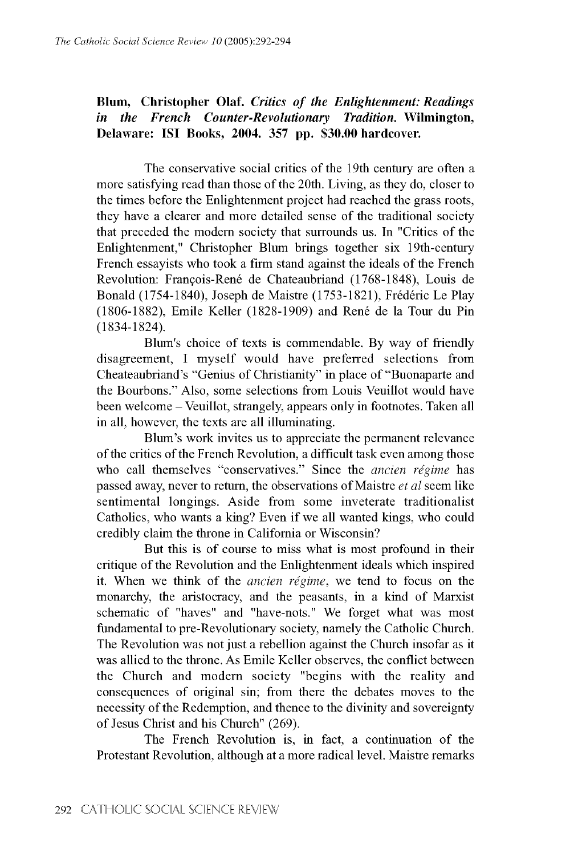## **Blum, Christopher Olaf. Critics of the Enlightenment: Readings** *in the French Counter-Revolutionary Tradition.* Wilmington, **Delaware: ISI Books, 2004. 357 pp. \$30.00 hardcover.**

The conservative social critics of the 19th century are often a more satisfying read than those of the 20th. Living, as they do, closer to the times before the Enlightenment project had reached the grass roots, they have a clearer and more detailed sense of the traditional society that preceded the modern society that surrounds us. In "Critics of the Enlightenment," Christopher Blum brings together six 19th-century French essayists who took a firm stand against the ideals of the French Revolution: François-René de Chateaubriand (1768-1848), Louis de Bonald (1754-1840), Joseph de Maistre (1753-1821), Frederic Le Play (1806-1882), Emile Keller (1828-1909) and René de la Tour du Pin (1834-1824).

Blum's choice of texts is commendable. By way of friendly disagreement, I myself would have preferred selections from Cheateaubriand's "Genius of Christianity" in place of "Buonaparte and the Bourbons." Also, some selections from Louis Veuillot would have been welcome - Veuillot, strangely, appears only in footnotes. Taken all in all, however, the texts are all illuminating.

Blum's work invites us to appreciate the permanent relevance of the critics of the French Revolution, a difficult task even among those who call themselves "conservatives." Since the *ancien regime* has passed away, never to return, the observations of Maistre *et al* seem like sentimental longings. Aside from some inveterate traditionalist Catholics, who wants a king? Even if we all wanted kings, who could credibly claim the throne in California or Wisconsin?

But this is of course to miss what is most profound in their critique of the Revolution and the Enlightenment ideals which inspired it. When we think of the *ancien regime*, we tend to focus on the monarchy, the aristocracy, and the peasants, in a kind of Marxist schematic of "haves" and "have-nots." We forget what was most fundamental to pre-Revolutionary society, namely the Catholic Church. The Revolution was not just a rebellion against the Church insofar as it was allied to the throne. As Emile Keller observes, the conflict between the Church and modern society "begins with the reality and consequences of original sin; from there the debates moves to the necessity of the Redemption, and thence to the divinity and sovereignty of Jesus Christ and his Church" (269).

The French Revolution is, in fact, a continuation of the Protestant Revolution, although at a more radical level. Maistre remarks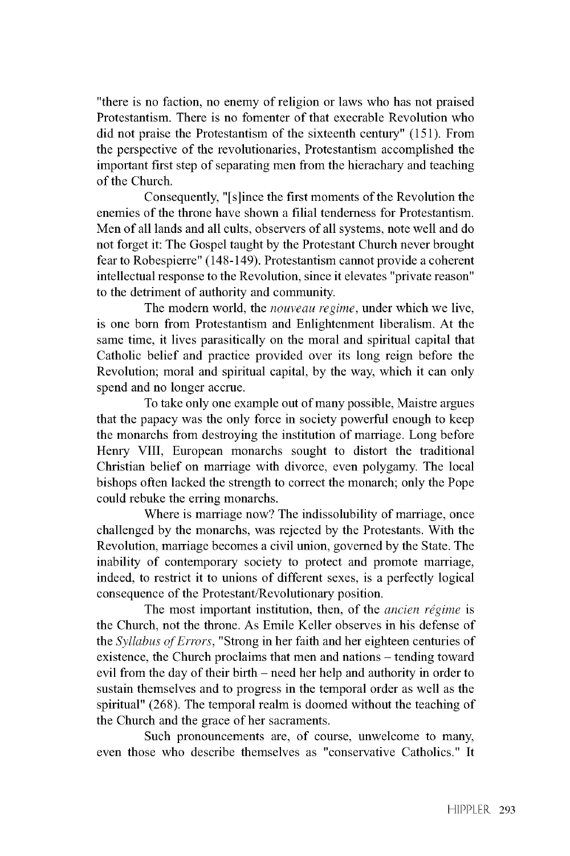"there is no faction, no enemy of religion or laws who has not praised Protestantism. There is no fomenter of that execrable Revolution who did not praise the Protestantism of the sixteenth century" (151). From the perspective of the revolutionaries, Protestantism accomplished the important first step of separating men from the hierachary and teaching of the Church.

Consequently, "[s]ince the first moments of the Revolution the enemies of the throne have shown a filial tenderness for Protestantism. Men of all lands and all cults, observers of all systems, note well and do not forget it: The Gospel taught by the Protestant Church never brought fear to Robespierre" (148-149). Protestantism cannot provide a coherent intellectual response to the Revolution, since it elevates "private reason" to the detriment of authority and community.

The modern world, the *nouveau regime,* under which we live, is one born from Protestantism and Enlightenment liberalism. At the same time, it lives parasitically on the moral and spiritual capital that Catholic belief and practice provided over its long reign before the Revolution; moral and spiritual capital, by the way, which it can only spend and no longer accrue.

To take only one example out of many possible, Maistre argues that the papacy was the only force in society powerful enough to keep the monarchs from destroying the institution of marriage. Long before Henry VIII, European monarchs sought to distort the traditional Christian belief on marriage with divorce, even polygamy. The local bishops often lacked the strength to correct the monarch; only the Pope could rebuke the erring monarchs.

Where is marriage now? The indissolubility of marriage, once challenged by the monarchs, was rejected by the Protestants. With the Revolution, marriage becomes a civil union, governed by the State. The inability of contemporary society to protect and promote marriage, indeed, to restrict it to unions of different sexes, is a perfectly logical consequence of the Protestant/Revolutionary position.

The most important institution, then, of the *ancien regime* is the Church, not the throne. As Emile Keller observes in his defense of the *Syllabus of Errors,* "Strong in her faith and her eighteen centuries of existence, the Church proclaims that men and nations – tending toward evil from the day of their birth – need her help and authority in order to sustain themselves and to progress in the temporal order as well as the spiritual" (268). The temporal realm is doomed without the teaching of the Church and the grace of her sacraments.

Such pronouncements are, of course, unwelcome to many, even those who describe themselves as "conservative Catholics." It